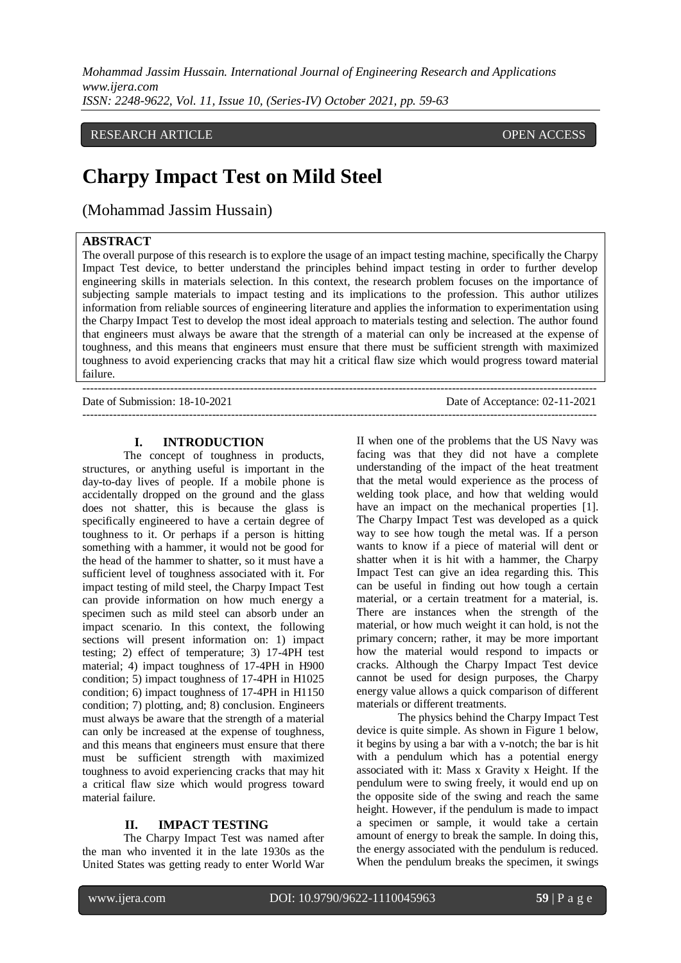# RESEARCH ARTICLE **CONTRACT ARTICLE**

# **Charpy Impact Test on Mild Steel**

(Mohammad Jassim Hussain)

# **ABSTRACT**

The overall purpose of this research is to explore the usage of an impact testing machine, specifically the Charpy Impact Test device, to better understand the principles behind impact testing in order to further develop engineering skills in materials selection. In this context, the research problem focuses on the importance of subjecting sample materials to impact testing and its implications to the profession. This author utilizes information from reliable sources of engineering literature and applies the information to experimentation using the Charpy Impact Test to develop the most ideal approach to materials testing and selection. The author found that engineers must always be aware that the strength of a material can only be increased at the expense of toughness, and this means that engineers must ensure that there must be sufficient strength with maximized toughness to avoid experiencing cracks that may hit a critical flaw size which would progress toward material failure.

| Date of Submission: 18-10-2021 | Date of Acceptance: 02-11-2021 |
|--------------------------------|--------------------------------|
|                                |                                |

### **I. INTRODUCTION**

The concept of toughness in products, structures, or anything useful is important in the day-to-day lives of people. If a mobile phone is accidentally dropped on the ground and the glass does not shatter, this is because the glass is specifically engineered to have a certain degree of toughness to it. Or perhaps if a person is hitting something with a hammer, it would not be good for the head of the hammer to shatter, so it must have a sufficient level of toughness associated with it. For impact testing of mild steel, the Charpy Impact Test can provide information on how much energy a specimen such as mild steel can absorb under an impact scenario. In this context, the following sections will present information on: 1) impact testing; 2) effect of temperature; 3) 17-4PH test material; 4) impact toughness of 17-4PH in H900 condition; 5) impact toughness of 17-4PH in H1025 condition; 6) impact toughness of 17-4PH in H1150 condition; 7) plotting, and; 8) conclusion. Engineers must always be aware that the strength of a material can only be increased at the expense of toughness, and this means that engineers must ensure that there must be sufficient strength with maximized toughness to avoid experiencing cracks that may hit a critical flaw size which would progress toward material failure.

#### **II. IMPACT TESTING**

The Charpy Impact Test was named after the man who invented it in the late 1930s as the United States was getting ready to enter World War II when one of the problems that the US Navy was facing was that they did not have a complete understanding of the impact of the heat treatment that the metal would experience as the process of welding took place, and how that welding would have an impact on the mechanical properties [1]. The Charpy Impact Test was developed as a quick way to see how tough the metal was. If a person wants to know if a piece of material will dent or shatter when it is hit with a hammer, the Charpy Impact Test can give an idea regarding this. This can be useful in finding out how tough a certain material, or a certain treatment for a material, is. There are instances when the strength of the material, or how much weight it can hold, is not the primary concern; rather, it may be more important how the material would respond to impacts or cracks. Although the Charpy Impact Test device cannot be used for design purposes, the Charpy energy value allows a quick comparison of different materials or different treatments.

The physics behind the Charpy Impact Test device is quite simple. As shown in Figure 1 below, it begins by using a bar with a v-notch; the bar is hit with a pendulum which has a potential energy associated with it: Mass x Gravity x Height. If the pendulum were to swing freely, it would end up on the opposite side of the swing and reach the same height. However, if the pendulum is made to impact a specimen or sample, it would take a certain amount of energy to break the sample. In doing this, the energy associated with the pendulum is reduced. When the pendulum breaks the specimen, it swings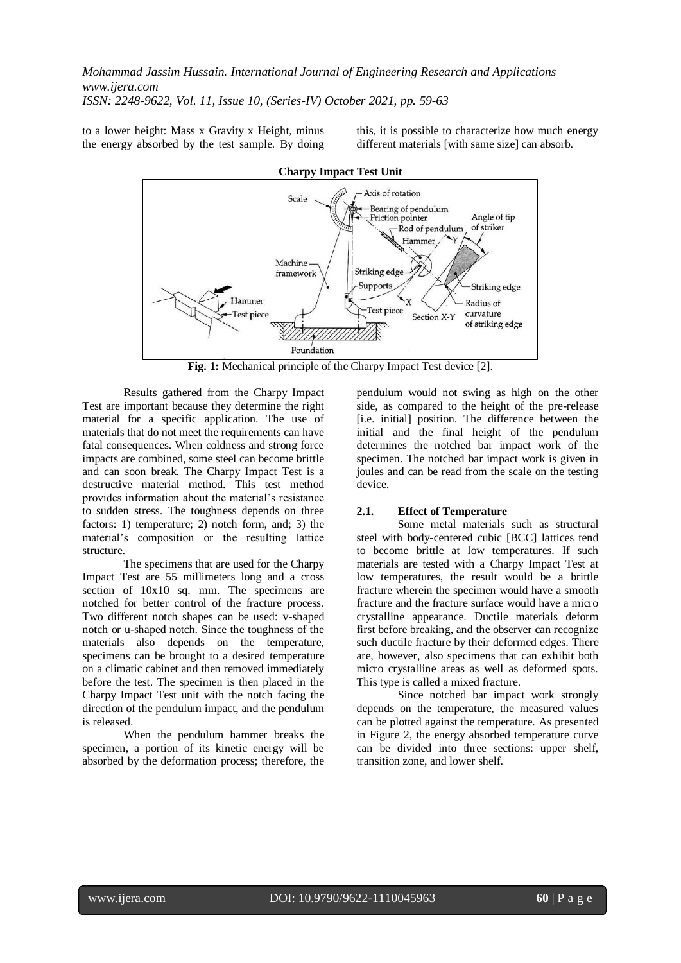to a lower height: Mass x Gravity x Height, minus the energy absorbed by the test sample. By doing

this, it is possible to characterize how much energy different materials [with same size] can absorb.



**Fig. 1:** Mechanical principle of the Charpy Impact Test device [2].

Results gathered from the Charpy Impact Test are important because they determine the right material for a specific application. The use of materials that do not meet the requirements can have fatal consequences. When coldness and strong force impacts are combined, some steel can become brittle and can soon break. The Charpy Impact Test is a destructive material method. This test method provides information about the material's resistance to sudden stress. The toughness depends on three factors: 1) temperature; 2) notch form, and; 3) the material's composition or the resulting lattice structure.

The specimens that are used for the Charpy Impact Test are 55 millimeters long and a cross section of 10x10 sq. mm. The specimens are notched for better control of the fracture process. Two different notch shapes can be used: v-shaped notch or u-shaped notch. Since the toughness of the materials also depends on the temperature, specimens can be brought to a desired temperature on a climatic cabinet and then removed immediately before the test. The specimen is then placed in the Charpy Impact Test unit with the notch facing the direction of the pendulum impact, and the pendulum is released.

When the pendulum hammer breaks the specimen, a portion of its kinetic energy will be absorbed by the deformation process; therefore, the pendulum would not swing as high on the other side, as compared to the height of the pre-release [i.e. initial] position. The difference between the initial and the final height of the pendulum determines the notched bar impact work of the specimen. The notched bar impact work is given in joules and can be read from the scale on the testing device.

#### **2.1. Effect of Temperature**

Some metal materials such as structural steel with body-centered cubic [BCC] lattices tend to become brittle at low temperatures. If such materials are tested with a Charpy Impact Test at low temperatures, the result would be a brittle fracture wherein the specimen would have a smooth fracture and the fracture surface would have a micro crystalline appearance. Ductile materials deform first before breaking, and the observer can recognize such ductile fracture by their deformed edges. There are, however, also specimens that can exhibit both micro crystalline areas as well as deformed spots. This type is called a mixed fracture.

Since notched bar impact work strongly depends on the temperature, the measured values can be plotted against the temperature. As presented in Figure 2, the energy absorbed temperature curve can be divided into three sections: upper shelf, transition zone, and lower shelf.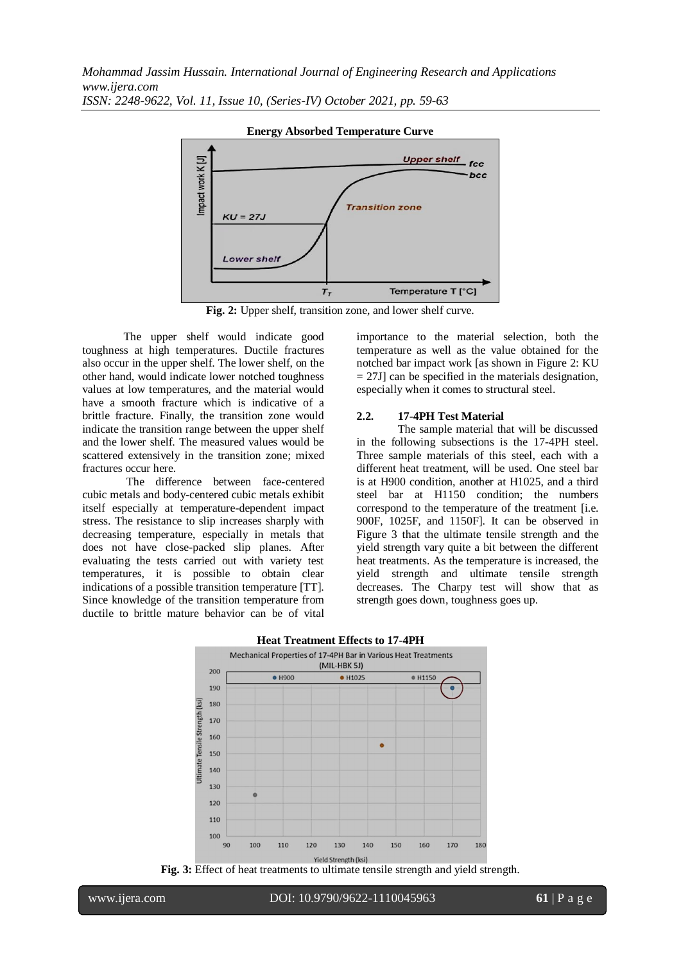

**Energy Absorbed Temperature Curve**

**Fig. 2:** Upper shelf, transition zone, and lower shelf curve.

The upper shelf would indicate good toughness at high temperatures. Ductile fractures also occur in the upper shelf. The lower shelf, on the other hand, would indicate lower notched toughness values at low temperatures, and the material would have a smooth fracture which is indicative of a brittle fracture. Finally, the transition zone would indicate the transition range between the upper shelf and the lower shelf. The measured values would be scattered extensively in the transition zone; mixed fractures occur here.

The difference between face-centered cubic metals and body-centered cubic metals exhibit itself especially at temperature-dependent impact stress. The resistance to slip increases sharply with decreasing temperature, especially in metals that does not have close-packed slip planes. After evaluating the tests carried out with variety test temperatures, it is possible to obtain clear indications of a possible transition temperature [TT]. Since knowledge of the transition temperature from ductile to brittle mature behavior can be of vital importance to the material selection, both the temperature as well as the value obtained for the notched bar impact work [as shown in Figure 2: KU  $= 27J$ ] can be specified in the materials designation, especially when it comes to structural steel.

#### **2.2. 17-4PH Test Material**

The sample material that will be discussed in the following subsections is the 17-4PH steel. Three sample materials of this steel, each with a different heat treatment, will be used. One steel bar is at H900 condition, another at H1025, and a third steel bar at H1150 condition; the numbers correspond to the temperature of the treatment [i.e. 900F, 1025F, and 1150F]. It can be observed in Figure 3 that the ultimate tensile strength and the yield strength vary quite a bit between the different heat treatments. As the temperature is increased, the yield strength and ultimate tensile strength decreases. The Charpy test will show that as strength goes down, toughness goes up.





www.ijera.com DOI: 10.9790/9622-1110045963 **61** | P a g e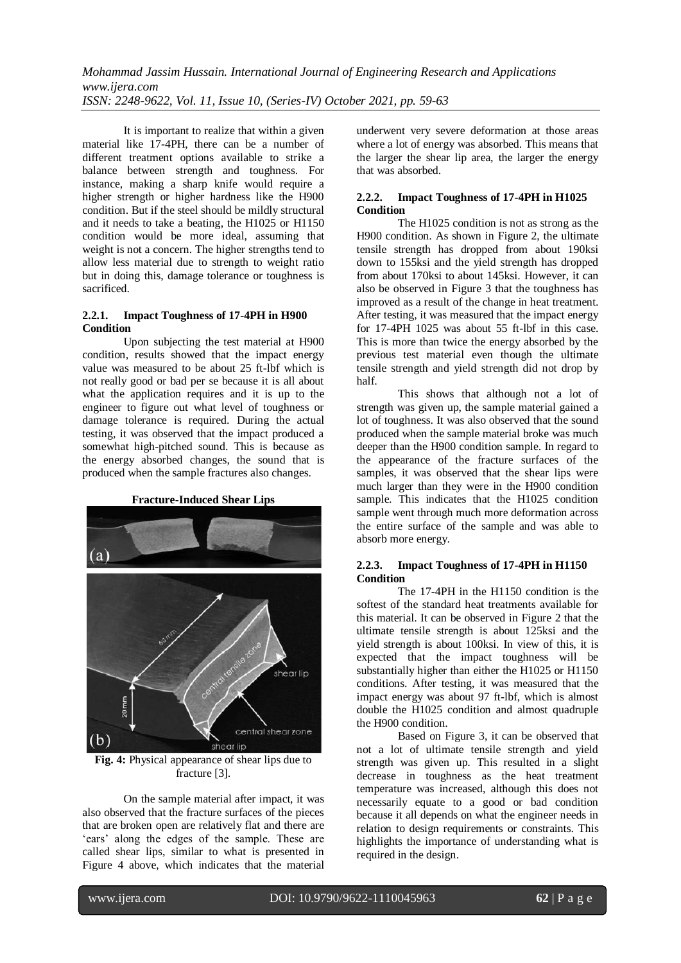It is important to realize that within a given material like 17-4PH, there can be a number of different treatment options available to strike a balance between strength and toughness. For instance, making a sharp knife would require a higher strength or higher hardness like the H900 condition. But if the steel should be mildly structural and it needs to take a beating, the H1025 or H1150 condition would be more ideal, assuming that weight is not a concern. The higher strengths tend to allow less material due to strength to weight ratio but in doing this, damage tolerance or toughness is sacrificed.

### **2.2.1. Impact Toughness of 17-4PH in H900 Condition**

Upon subjecting the test material at H900 condition, results showed that the impact energy value was measured to be about 25 ft-lbf which is not really good or bad per se because it is all about what the application requires and it is up to the engineer to figure out what level of toughness or damage tolerance is required. During the actual testing, it was observed that the impact produced a somewhat high-pitched sound. This is because as the energy absorbed changes, the sound that is produced when the sample fractures also changes.

**Fracture-Induced Shear Lips**

 $(a)$ shear lip central shear zone  $(b)$ shear lip

**Fig. 4:** Physical appearance of shear lips due to fracture [3].

On the sample material after impact, it was also observed that the fracture surfaces of the pieces that are broken open are relatively flat and there are 'ears' along the edges of the sample. These are called shear lips, similar to what is presented in Figure 4 above, which indicates that the material underwent very severe deformation at those areas where a lot of energy was absorbed. This means that the larger the shear lip area, the larger the energy that was absorbed.

# **2.2.2. Impact Toughness of 17-4PH in H1025 Condition**

The H1025 condition is not as strong as the H900 condition. As shown in Figure 2, the ultimate tensile strength has dropped from about 190ksi down to 155ksi and the yield strength has dropped from about 170ksi to about 145ksi. However, it can also be observed in Figure 3 that the toughness has improved as a result of the change in heat treatment. After testing, it was measured that the impact energy for 17-4PH 1025 was about 55 ft-lbf in this case. This is more than twice the energy absorbed by the previous test material even though the ultimate tensile strength and yield strength did not drop by half.

This shows that although not a lot of strength was given up, the sample material gained a lot of toughness. It was also observed that the sound produced when the sample material broke was much deeper than the H900 condition sample. In regard to the appearance of the fracture surfaces of the samples, it was observed that the shear lips were much larger than they were in the H900 condition sample. This indicates that the H1025 condition sample went through much more deformation across the entire surface of the sample and was able to absorb more energy.

## **2.2.3. Impact Toughness of 17-4PH in H1150 Condition**

The 17-4PH in the H1150 condition is the softest of the standard heat treatments available for this material. It can be observed in Figure 2 that the ultimate tensile strength is about 125ksi and the yield strength is about 100ksi. In view of this, it is expected that the impact toughness will be substantially higher than either the H1025 or H1150 conditions. After testing, it was measured that the impact energy was about 97 ft-lbf, which is almost double the H1025 condition and almost quadruple the H900 condition.

Based on Figure 3, it can be observed that not a lot of ultimate tensile strength and yield strength was given up. This resulted in a slight decrease in toughness as the heat treatment temperature was increased, although this does not necessarily equate to a good or bad condition because it all depends on what the engineer needs in relation to design requirements or constraints. This highlights the importance of understanding what is required in the design.